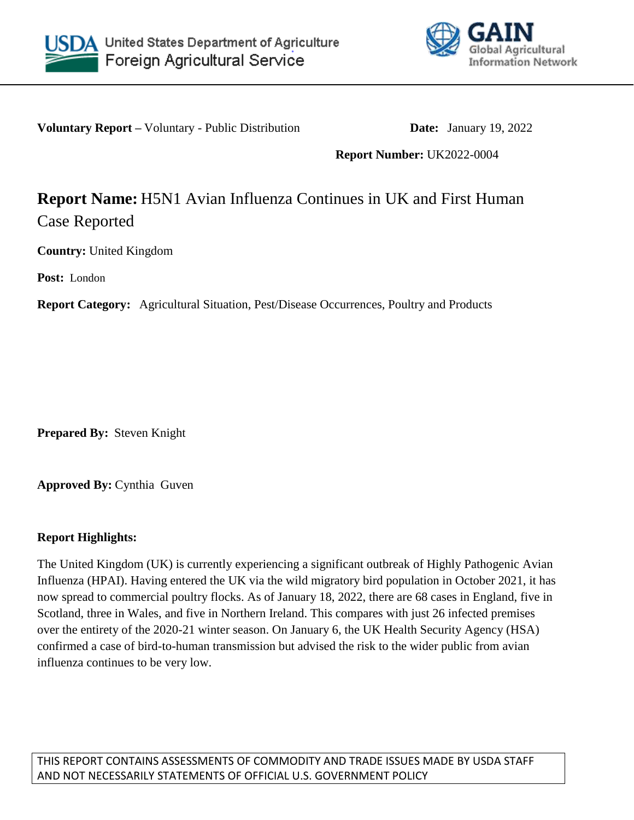



**Voluntary Report –** Voluntary - Public Distribution **Date:** January 19, 2022

**Report Number:** UK2022-0004

## **Report Name:** H5N1 Avian Influenza Continues in UK and First Human Case Reported

**Country:** United Kingdom

**Post:** London

**Report Category:** Agricultural Situation, Pest/Disease Occurrences, Poultry and Products

**Prepared By:** Steven Knight

**Approved By:** Cynthia Guven

## **Report Highlights:**

The United Kingdom (UK) is currently experiencing a significant outbreak of Highly Pathogenic Avian Influenza (HPAI). Having entered the UK via the wild migratory bird population in October 2021, it has now spread to commercial poultry flocks. As of January 18, 2022, there are 68 cases in England, five in Scotland, three in Wales, and five in Northern Ireland. This compares with just 26 infected premises over the entirety of the 2020-21 winter season. On January 6, the UK Health Security Agency (HSA) confirmed a case of bird-to-human transmission but advised the risk to the wider public from avian influenza continues to be very low.

THIS REPORT CONTAINS ASSESSMENTS OF COMMODITY AND TRADE ISSUES MADE BY USDA STAFF AND NOT NECESSARILY STATEMENTS OF OFFICIAL U.S. GOVERNMENT POLICY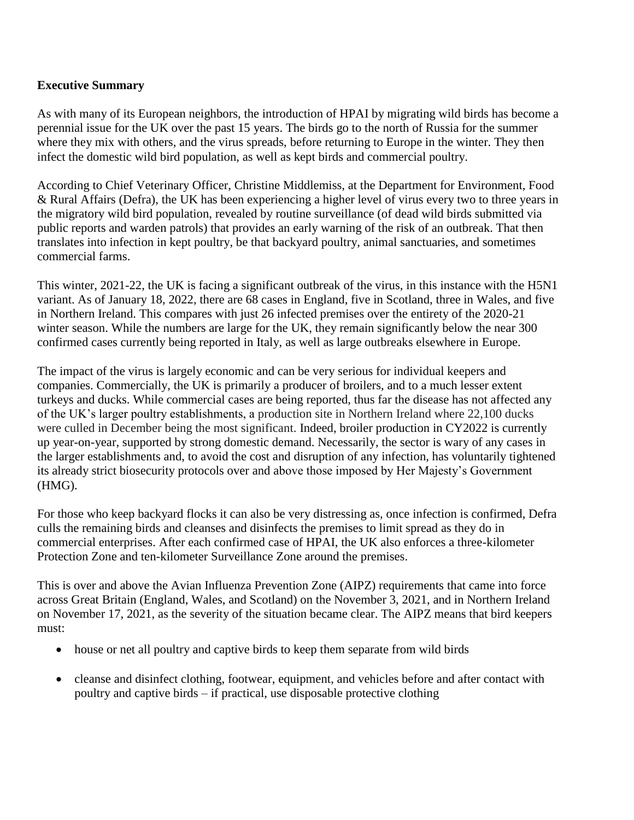## **Executive Summary**

As with many of its European neighbors, the introduction of HPAI by migrating wild birds has become a perennial issue for the UK over the past 15 years. The birds go to the north of Russia for the summer where they mix with others, and the virus spreads, before returning to Europe in the winter. They then infect the domestic wild bird population, as well as kept birds and commercial poultry.

According to Chief Veterinary Officer, Christine Middlemiss, at the Department for Environment, Food & Rural Affairs (Defra), the UK has been experiencing a higher level of virus every two to three years in the migratory wild bird population, revealed by routine surveillance (of dead wild birds submitted via public reports and warden patrols) that provides an early warning of the risk of an outbreak. That then translates into infection in kept poultry, be that backyard poultry, animal sanctuaries, and sometimes commercial farms.

This winter, 2021-22, the UK is facing a significant outbreak of the virus, in this instance with the H5N1 variant. As of January 18, 2022, there are 68 cases in England, five in Scotland, three in Wales, and five in Northern Ireland. This compares with just 26 infected premises over the entirety of the 2020-21 winter season. While the numbers are large for the UK, they remain significantly below the near 300 confirmed cases currently being reported in Italy, as well as large outbreaks elsewhere in Europe.

The impact of the virus is largely economic and can be very serious for individual keepers and companies. Commercially, the UK is primarily a producer of broilers, and to a much lesser extent turkeys and ducks. While commercial cases are being reported, thus far the disease has not affected any of the UK's larger poultry establishments, a production site in Northern Ireland where 22,100 ducks were culled in December being the most significant. Indeed, broiler production in CY2022 is currently up year-on-year, supported by strong domestic demand. Necessarily, the sector is wary of any cases in the larger establishments and, to avoid the cost and disruption of any infection, has voluntarily tightened its already strict biosecurity protocols over and above those imposed by Her Majesty's Government (HMG).

For those who keep backyard flocks it can also be very distressing as, once infection is confirmed, Defra culls the remaining birds and cleanses and disinfects the premises to limit spread as they do in commercial enterprises. After each confirmed case of HPAI, the UK also enforces a three-kilometer Protection Zone and ten-kilometer Surveillance Zone around the premises.

This is over and above the Avian Influenza Prevention Zone (AIPZ) requirements that came into force across Great Britain (England, Wales, and Scotland) on the November 3, 2021, and in Northern Ireland on November 17, 2021, as the severity of the situation became clear. The AIPZ means that bird keepers must:

- house or net all poultry and captive birds to keep them separate from wild birds
- cleanse and disinfect clothing, footwear, equipment, and vehicles before and after contact with poultry and captive birds – if practical, use disposable protective clothing